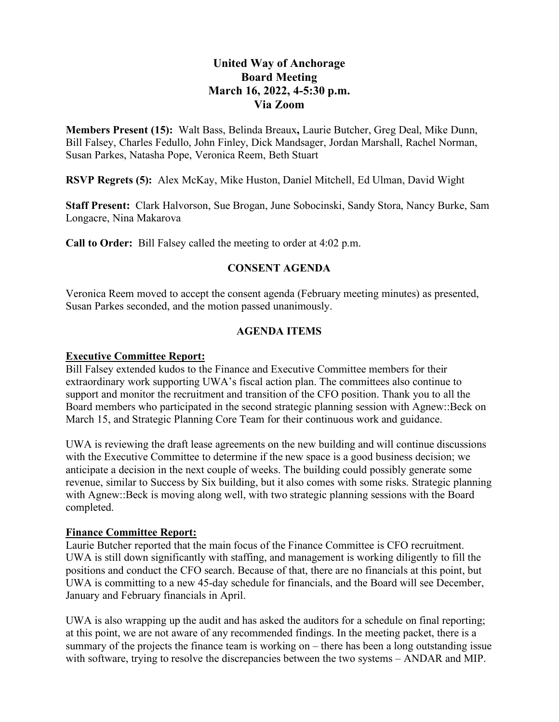# **United Way of Anchorage Board Meeting March 16, 2022, 4-5:30 p.m. Via Zoom**

**Members Present (15):** Walt Bass, Belinda Breaux**,** Laurie Butcher, Greg Deal, Mike Dunn, Bill Falsey, Charles Fedullo, John Finley, Dick Mandsager, Jordan Marshall, Rachel Norman, Susan Parkes, Natasha Pope, Veronica Reem, Beth Stuart

**RSVP Regrets (5):** Alex McKay, Mike Huston, Daniel Mitchell, Ed Ulman, David Wight

**Staff Present:** Clark Halvorson, Sue Brogan, June Sobocinski, Sandy Stora, Nancy Burke, Sam Longacre, Nina Makarova

**Call to Order:** Bill Falsey called the meeting to order at 4:02 p.m.

# **CONSENT AGENDA**

Veronica Reem moved to accept the consent agenda (February meeting minutes) as presented, Susan Parkes seconded, and the motion passed unanimously.

## **AGENDA ITEMS**

#### **Executive Committee Report:**

Bill Falsey extended kudos to the Finance and Executive Committee members for their extraordinary work supporting UWA's fiscal action plan. The committees also continue to support and monitor the recruitment and transition of the CFO position. Thank you to all the Board members who participated in the second strategic planning session with Agnew::Beck on March 15, and Strategic Planning Core Team for their continuous work and guidance.

UWA is reviewing the draft lease agreements on the new building and will continue discussions with the Executive Committee to determine if the new space is a good business decision; we anticipate a decision in the next couple of weeks. The building could possibly generate some revenue, similar to Success by Six building, but it also comes with some risks. Strategic planning with Agnew::Beck is moving along well, with two strategic planning sessions with the Board completed.

#### **Finance Committee Report:**

Laurie Butcher reported that the main focus of the Finance Committee is CFO recruitment. UWA is still down significantly with staffing, and management is working diligently to fill the positions and conduct the CFO search. Because of that, there are no financials at this point, but UWA is committing to a new 45-day schedule for financials, and the Board will see December, January and February financials in April.

UWA is also wrapping up the audit and has asked the auditors for a schedule on final reporting; at this point, we are not aware of any recommended findings. In the meeting packet, there is a summary of the projects the finance team is working on – there has been a long outstanding issue with software, trying to resolve the discrepancies between the two systems – ANDAR and MIP.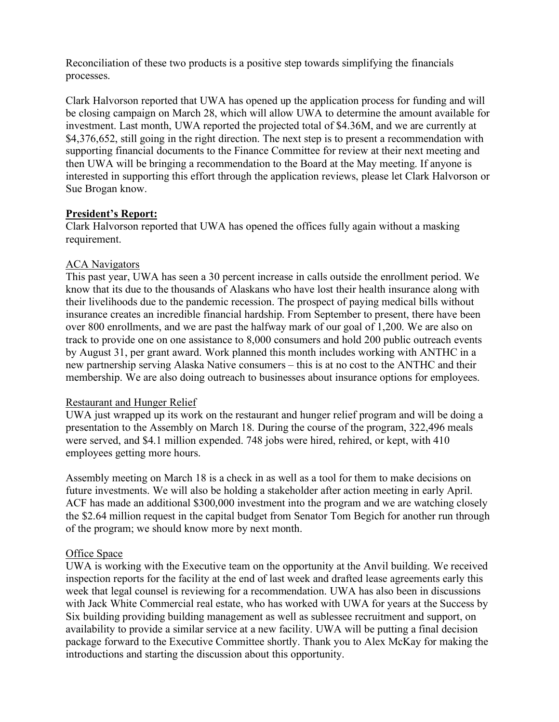Reconciliation of these two products is a positive step towards simplifying the financials processes.

Clark Halvorson reported that UWA has opened up the application process for funding and will be closing campaign on March 28, which will allow UWA to determine the amount available for investment. Last month, UWA reported the projected total of \$4.36M, and we are currently at \$4,376,652, still going in the right direction. The next step is to present a recommendation with supporting financial documents to the Finance Committee for review at their next meeting and then UWA will be bringing a recommendation to the Board at the May meeting. If anyone is interested in supporting this effort through the application reviews, please let Clark Halvorson or Sue Brogan know.

#### **President's Report:**

Clark Halvorson reported that UWA has opened the offices fully again without a masking requirement.

#### ACA Navigators

This past year, UWA has seen a 30 percent increase in calls outside the enrollment period. We know that its due to the thousands of Alaskans who have lost their health insurance along with their livelihoods due to the pandemic recession. The prospect of paying medical bills without insurance creates an incredible financial hardship. From September to present, there have been over 800 enrollments, and we are past the halfway mark of our goal of 1,200. We are also on track to provide one on one assistance to 8,000 consumers and hold 200 public outreach events by August 31, per grant award. Work planned this month includes working with ANTHC in a new partnership serving Alaska Native consumers – this is at no cost to the ANTHC and their membership. We are also doing outreach to businesses about insurance options for employees.

#### Restaurant and Hunger Relief

UWA just wrapped up its work on the restaurant and hunger relief program and will be doing a presentation to the Assembly on March 18. During the course of the program, 322,496 meals were served, and \$4.1 million expended. 748 jobs were hired, rehired, or kept, with 410 employees getting more hours.

Assembly meeting on March 18 is a check in as well as a tool for them to make decisions on future investments. We will also be holding a stakeholder after action meeting in early April. ACF has made an additional \$300,000 investment into the program and we are watching closely the \$2.64 million request in the capital budget from Senator Tom Begich for another run through of the program; we should know more by next month.

#### Office Space

UWA is working with the Executive team on the opportunity at the Anvil building. We received inspection reports for the facility at the end of last week and drafted lease agreements early this week that legal counsel is reviewing for a recommendation. UWA has also been in discussions with Jack White Commercial real estate, who has worked with UWA for years at the Success by Six building providing building management as well as sublessee recruitment and support, on availability to provide a similar service at a new facility. UWA will be putting a final decision package forward to the Executive Committee shortly. Thank you to Alex McKay for making the introductions and starting the discussion about this opportunity.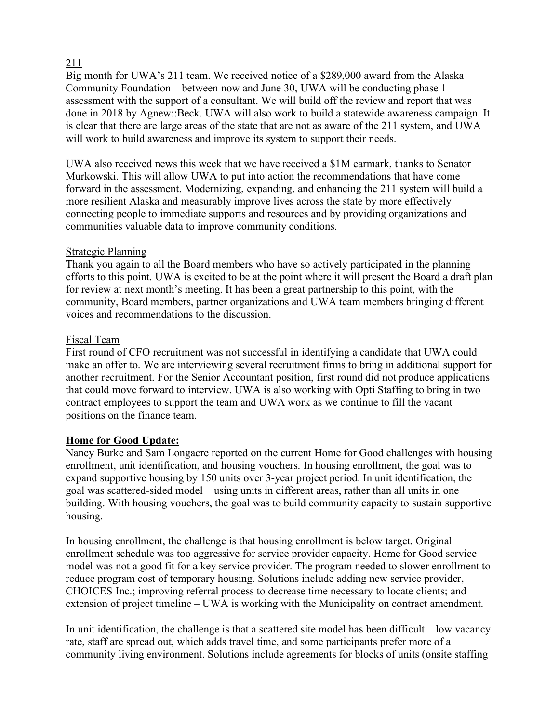## 211

Big month for UWA's 211 team. We received notice of a \$289,000 award from the Alaska Community Foundation – between now and June 30, UWA will be conducting phase 1 assessment with the support of a consultant. We will build off the review and report that was done in 2018 by Agnew::Beck. UWA will also work to build a statewide awareness campaign. It is clear that there are large areas of the state that are not as aware of the 211 system, and UWA will work to build awareness and improve its system to support their needs.

UWA also received news this week that we have received a \$1M earmark, thanks to Senator Murkowski. This will allow UWA to put into action the recommendations that have come forward in the assessment. Modernizing, expanding, and enhancing the 211 system will build a more resilient Alaska and measurably improve lives across the state by more effectively connecting people to immediate supports and resources and by providing organizations and communities valuable data to improve community conditions.

#### Strategic Planning

Thank you again to all the Board members who have so actively participated in the planning efforts to this point. UWA is excited to be at the point where it will present the Board a draft plan for review at next month's meeting. It has been a great partnership to this point, with the community, Board members, partner organizations and UWA team members bringing different voices and recommendations to the discussion.

## Fiscal Team

First round of CFO recruitment was not successful in identifying a candidate that UWA could make an offer to. We are interviewing several recruitment firms to bring in additional support for another recruitment. For the Senior Accountant position, first round did not produce applications that could move forward to interview. UWA is also working with Opti Staffing to bring in two contract employees to support the team and UWA work as we continue to fill the vacant positions on the finance team.

# **Home for Good Update:**

Nancy Burke and Sam Longacre reported on the current Home for Good challenges with housing enrollment, unit identification, and housing vouchers. In housing enrollment, the goal was to expand supportive housing by 150 units over 3-year project period. In unit identification, the goal was scattered-sided model – using units in different areas, rather than all units in one building. With housing vouchers, the goal was to build community capacity to sustain supportive housing.

In housing enrollment, the challenge is that housing enrollment is below target. Original enrollment schedule was too aggressive for service provider capacity. Home for Good service model was not a good fit for a key service provider. The program needed to slower enrollment to reduce program cost of temporary housing. Solutions include adding new service provider, CHOICES Inc.; improving referral process to decrease time necessary to locate clients; and extension of project timeline – UWA is working with the Municipality on contract amendment.

In unit identification, the challenge is that a scattered site model has been difficult – low vacancy rate, staff are spread out, which adds travel time, and some participants prefer more of a community living environment. Solutions include agreements for blocks of units (onsite staffing